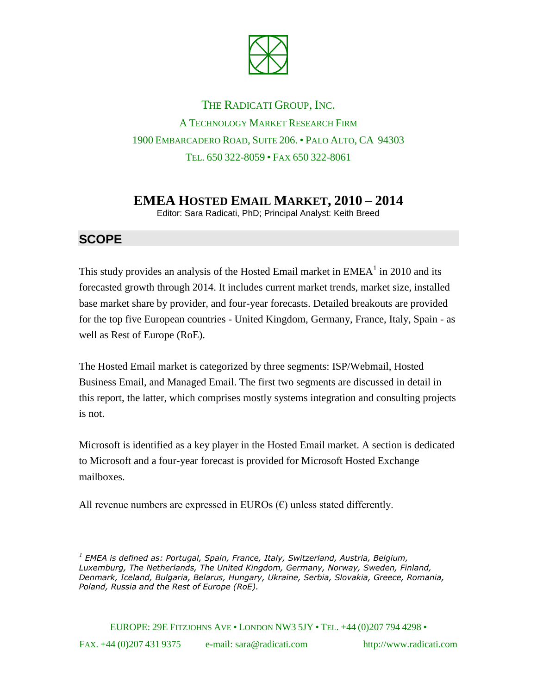

THE RADICATI GROUP, INC. A TECHNOLOGY MARKET RESEARCH FIRM 1900 EMBARCADERO ROAD, SUITE 206. • PALO ALTO, CA 94303 TEL. 650 322-8059 • FAX 650 322-8061

## **EMEA HOSTED EMAIL MARKET, 2010 – 2014**

Editor: Sara Radicati, PhD; Principal Analyst: Keith Breed

## **SCOPE**

This study provides an analysis of the Hosted Email market in  $EMEA<sup>1</sup>$  in 2010 and its forecasted growth through 2014. It includes current market trends, market size, installed base market share by provider, and four-year forecasts. Detailed breakouts are provided for the top five European countries - United Kingdom, Germany, France, Italy, Spain - as well as Rest of Europe (RoE).

The Hosted Email market is categorized by three segments: ISP/Webmail, Hosted Business Email, and Managed Email. The first two segments are discussed in detail in this report, the latter, which comprises mostly systems integration and consulting projects is not.

Microsoft is identified as a key player in the Hosted Email market. A section is dedicated to Microsoft and a four-year forecast is provided for Microsoft Hosted Exchange mailboxes.

All revenue numbers are expressed in EUROs  $(\epsilon)$  unless stated differently.

*<sup>1</sup> EMEA is defined as: Portugal, Spain, France, Italy, Switzerland, Austria, Belgium, Luxemburg, The Netherlands, The United Kingdom, Germany, Norway, Sweden, Finland, Denmark, Iceland, Bulgaria, Belarus, Hungary, Ukraine, Serbia, Slovakia, Greece, Romania, Poland, Russia and the Rest of Europe (RoE).*

EUROPE: 29E FITZJOHNS AVE • LONDON NW3 5JY • TEL. +44 (0)207 794 4298 • FAX. +44 (0)207 431 9375 e-mail: sara@radicati.com http://www.radicati.com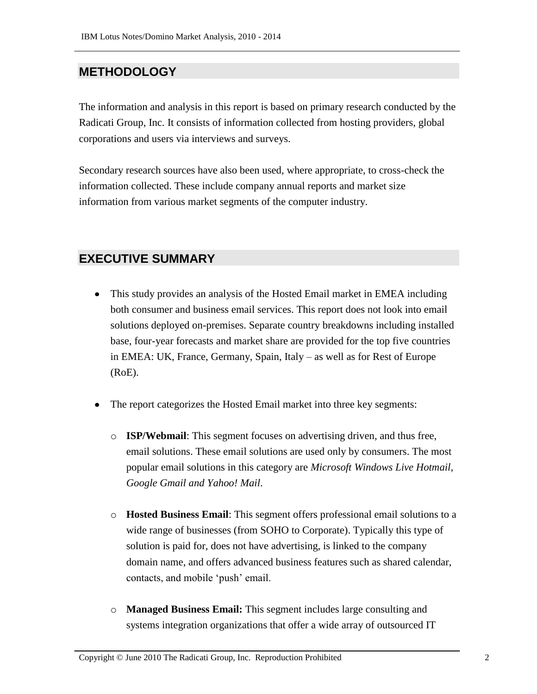## **METHODOLOGY**

The information and analysis in this report is based on primary research conducted by the Radicati Group, Inc. It consists of information collected from hosting providers, global corporations and users via interviews and surveys.

Secondary research sources have also been used, where appropriate, to cross-check the information collected. These include company annual reports and market size information from various market segments of the computer industry.

## **EXECUTIVE SUMMARY**

- This study provides an analysis of the Hosted Email market in EMEA including both consumer and business email services. This report does not look into email solutions deployed on-premises. Separate country breakdowns including installed base, four-year forecasts and market share are provided for the top five countries in EMEA: UK, France, Germany, Spain, Italy – as well as for Rest of Europe (RoE).
- The report categorizes the Hosted Email market into three key segments:
	- o **ISP/Webmail**: This segment focuses on advertising driven, and thus free, email solutions. These email solutions are used only by consumers. The most popular email solutions in this category are *Microsoft Windows Live Hotmail, Google Gmail and Yahoo! Mail*.
	- o **Hosted Business Email**: This segment offers professional email solutions to a wide range of businesses (from SOHO to Corporate). Typically this type of solution is paid for, does not have advertising, is linked to the company domain name, and offers advanced business features such as shared calendar, contacts, and mobile 'push' email.
	- o **Managed Business Email:** This segment includes large consulting and systems integration organizations that offer a wide array of outsourced IT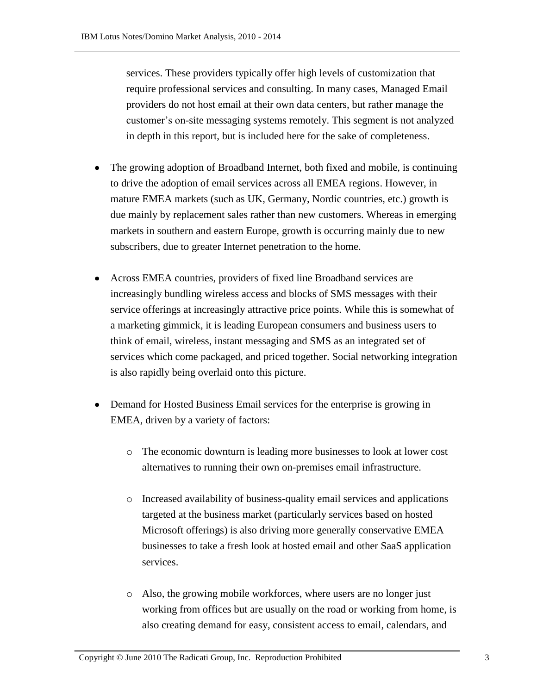services. These providers typically offer high levels of customization that require professional services and consulting. In many cases, Managed Email providers do not host email at their own data centers, but rather manage the customer's on-site messaging systems remotely. This segment is not analyzed in depth in this report, but is included here for the sake of completeness.

- The growing adoption of Broadband Internet, both fixed and mobile, is continuing to drive the adoption of email services across all EMEA regions. However, in mature EMEA markets (such as UK, Germany, Nordic countries, etc.) growth is due mainly by replacement sales rather than new customers. Whereas in emerging markets in southern and eastern Europe, growth is occurring mainly due to new subscribers, due to greater Internet penetration to the home.
- Across EMEA countries, providers of fixed line Broadband services are increasingly bundling wireless access and blocks of SMS messages with their service offerings at increasingly attractive price points. While this is somewhat of a marketing gimmick, it is leading European consumers and business users to think of email, wireless, instant messaging and SMS as an integrated set of services which come packaged, and priced together. Social networking integration is also rapidly being overlaid onto this picture.
- Demand for Hosted Business Email services for the enterprise is growing in EMEA, driven by a variety of factors:
	- o The economic downturn is leading more businesses to look at lower cost alternatives to running their own on-premises email infrastructure.
	- o Increased availability of business-quality email services and applications targeted at the business market (particularly services based on hosted Microsoft offerings) is also driving more generally conservative EMEA businesses to take a fresh look at hosted email and other SaaS application services.
	- o Also, the growing mobile workforces, where users are no longer just working from offices but are usually on the road or working from home, is also creating demand for easy, consistent access to email, calendars, and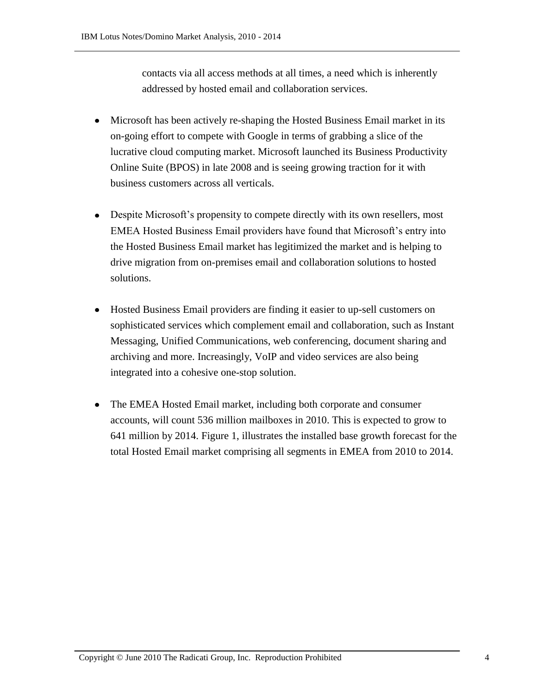contacts via all access methods at all times, a need which is inherently addressed by hosted email and collaboration services.

- Microsoft has been actively re-shaping the Hosted Business Email market in its on-going effort to compete with Google in terms of grabbing a slice of the lucrative cloud computing market. Microsoft launched its Business Productivity Online Suite (BPOS) in late 2008 and is seeing growing traction for it with business customers across all verticals.
- Despite Microsoft's propensity to compete directly with its own resellers, most EMEA Hosted Business Email providers have found that Microsoft's entry into the Hosted Business Email market has legitimized the market and is helping to drive migration from on-premises email and collaboration solutions to hosted solutions.
- Hosted Business Email providers are finding it easier to up-sell customers on sophisticated services which complement email and collaboration, such as Instant Messaging, Unified Communications, web conferencing, document sharing and archiving and more. Increasingly, VoIP and video services are also being integrated into a cohesive one-stop solution.
- The EMEA Hosted Email market, including both corporate and consumer accounts, will count 536 million mailboxes in 2010. This is expected to grow to 641 million by 2014. Figure 1, illustrates the installed base growth forecast for the total Hosted Email market comprising all segments in EMEA from 2010 to 2014.